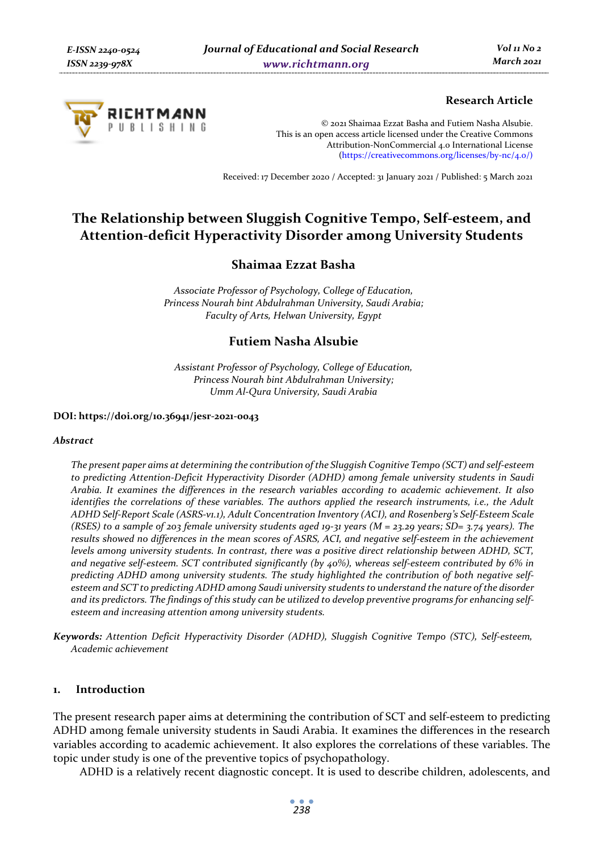

# **Research Article**

© 2021 Shaimaa Ezzat Basha and Futiem Nasha Alsubie. This is an open access article licensed under the Creative Commons Attribution-NonCommercial 4.0 International License (https://creativecommons.org/licenses/by-nc/4.0/)

Received: 17 December 2020 / Accepted: 31 January 2021 / Published: 5 March 2021

# **The Relationship between Sluggish Cognitive Tempo, Self-esteem, and Attention-deficit Hyperactivity Disorder among University Students**

# **Shaimaa Ezzat Basha**

*Associate Professor of Psychology, College of Education, Princess Nourah bint Abdulrahman University, Saudi Arabia; Faculty of Arts, Helwan University, Egypt* 

# **Futiem Nasha Alsubie**

*Assistant Professor of Psychology, College of Education, Princess Nourah bint Abdulrahman University; Umm Al-Qura University, Saudi Arabia* 

#### **DOI: https://doi.org/10.36941/jesr-2021-0043**

#### *Abstract*

*The present paper aims at determining the contribution of the Sluggish Cognitive Tempo (SCT) and self-esteem to predicting Attention-Deficit Hyperactivity Disorder (ADHD) among female university students in Saudi Arabia. It examines the differences in the research variables according to academic achievement. It also identifies the correlations of these variables. The authors applied the research instruments, i.e., the Adult ADHD Self-Report Scale (ASRS-v1.1), Adult Concentration Inventory (ACI), and Rosenberg's Self-Esteem Scale (RSES) to a sample of 203 female university students aged 19-31 years (M = 23.29 years; SD= 3.74 years). The results showed no differences in the mean scores of ASRS, ACI, and negative self-esteem in the achievement levels among university students. In contrast, there was a positive direct relationship between ADHD, SCT, and negative self-esteem. SCT contributed significantly (by 40%), whereas self-esteem contributed by 6% in predicting ADHD among university students. The study highlighted the contribution of both negative selfesteem and SCT to predicting ADHD among Saudi university students to understand the nature of the disorder and its predictors. The findings of this study can be utilized to develop preventive programs for enhancing selfesteem and increasing attention among university students.* 

*Keywords: Attention Deficit Hyperactivity Disorder (ADHD), Sluggish Cognitive Tempo (STC), Self-esteem, Academic achievement* 

#### **1. Introduction**

The present research paper aims at determining the contribution of SCT and self-esteem to predicting ADHD among female university students in Saudi Arabia. It examines the differences in the research variables according to academic achievement. It also explores the correlations of these variables. The topic under study is one of the preventive topics of psychopathology.

ADHD is a relatively recent diagnostic concept. It is used to describe children, adolescents, and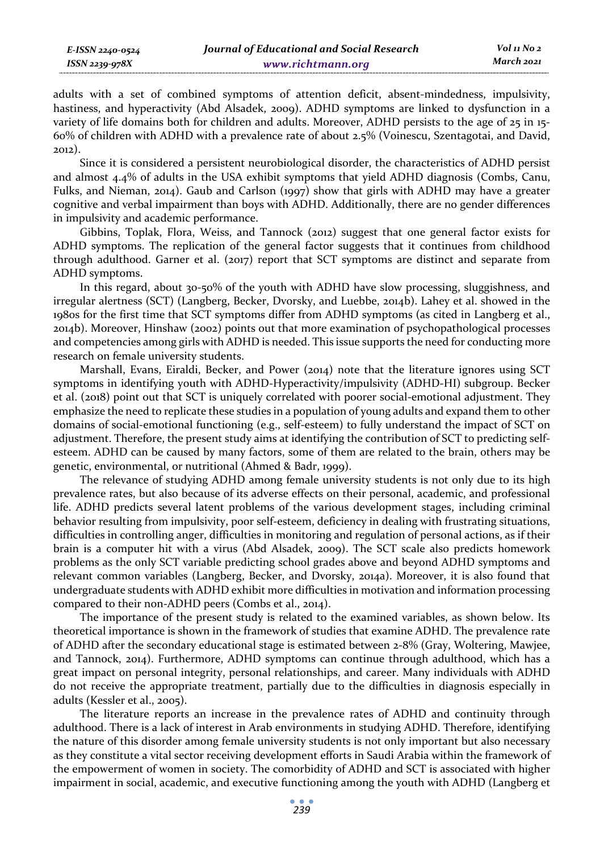adults with a set of combined symptoms of attention deficit, absent-mindedness, impulsivity, hastiness, and hyperactivity (Abd Alsadek, 2009). ADHD symptoms are linked to dysfunction in a variety of life domains both for children and adults. Moreover, ADHD persists to the age of 25 in 15- 60% of children with ADHD with a prevalence rate of about 2.5% (Voinescu, Szentagotai, and David, 2012).

Since it is considered a persistent neurobiological disorder, the characteristics of ADHD persist and almost 4.4% of adults in the USA exhibit symptoms that yield ADHD diagnosis (Combs, Canu, Fulks, and Nieman, 2014). Gaub and Carlson (1997) show that girls with ADHD may have a greater cognitive and verbal impairment than boys with ADHD. Additionally, there are no gender differences in impulsivity and academic performance.

Gibbins, Toplak, Flora, Weiss, and Tannock (2012) suggest that one general factor exists for ADHD symptoms. The replication of the general factor suggests that it continues from childhood through adulthood. Garner et al. (2017) report that SCT symptoms are distinct and separate from ADHD symptoms.

In this regard, about 30-50% of the youth with ADHD have slow processing, sluggishness, and irregular alertness (SCT) (Langberg, Becker, Dvorsky, and Luebbe, 2014b). Lahey et al. showed in the 1980s for the first time that SCT symptoms differ from ADHD symptoms (as cited in Langberg et al., 2014b). Moreover, Hinshaw (2002) points out that more examination of psychopathological processes and competencies among girls with ADHD is needed. This issue supports the need for conducting more research on female university students.

Marshall, Evans, Eiraldi, Becker, and Power (2014) note that the literature ignores using SCT symptoms in identifying youth with ADHD-Hyperactivity/impulsivity (ADHD-HI) subgroup. Becker et al. (2018) point out that SCT is uniquely correlated with poorer social-emotional adjustment. They emphasize the need to replicate these studies in a population of young adults and expand them to other domains of social-emotional functioning (e.g., self-esteem) to fully understand the impact of SCT on adjustment. Therefore, the present study aims at identifying the contribution of SCT to predicting selfesteem. ADHD can be caused by many factors, some of them are related to the brain, others may be genetic, environmental, or nutritional (Ahmed & Badr, 1999).

The relevance of studying ADHD among female university students is not only due to its high prevalence rates, but also because of its adverse effects on their personal, academic, and professional life. ADHD predicts several latent problems of the various development stages, including criminal behavior resulting from impulsivity, poor self-esteem, deficiency in dealing with frustrating situations, difficulties in controlling anger, difficulties in monitoring and regulation of personal actions, as if their brain is a computer hit with a virus (Abd Alsadek, 2009). The SCT scale also predicts homework problems as the only SCT variable predicting school grades above and beyond ADHD symptoms and relevant common variables (Langberg, Becker, and Dvorsky, 2014a). Moreover, it is also found that undergraduate students with ADHD exhibit more difficulties in motivation and information processing compared to their non-ADHD peers (Combs et al., 2014).

The importance of the present study is related to the examined variables, as shown below. Its theoretical importance is shown in the framework of studies that examine ADHD. The prevalence rate of ADHD after the secondary educational stage is estimated between 2-8% (Gray, Woltering, Mawjee, and Tannock, 2014). Furthermore, ADHD symptoms can continue through adulthood, which has a great impact on personal integrity, personal relationships, and career. Many individuals with ADHD do not receive the appropriate treatment, partially due to the difficulties in diagnosis especially in adults (Kessler et al., 2005).

The literature reports an increase in the prevalence rates of ADHD and continuity through adulthood. There is a lack of interest in Arab environments in studying ADHD. Therefore, identifying the nature of this disorder among female university students is not only important but also necessary as they constitute a vital sector receiving development efforts in Saudi Arabia within the framework of the empowerment of women in society. The comorbidity of ADHD and SCT is associated with higher impairment in social, academic, and executive functioning among the youth with ADHD (Langberg et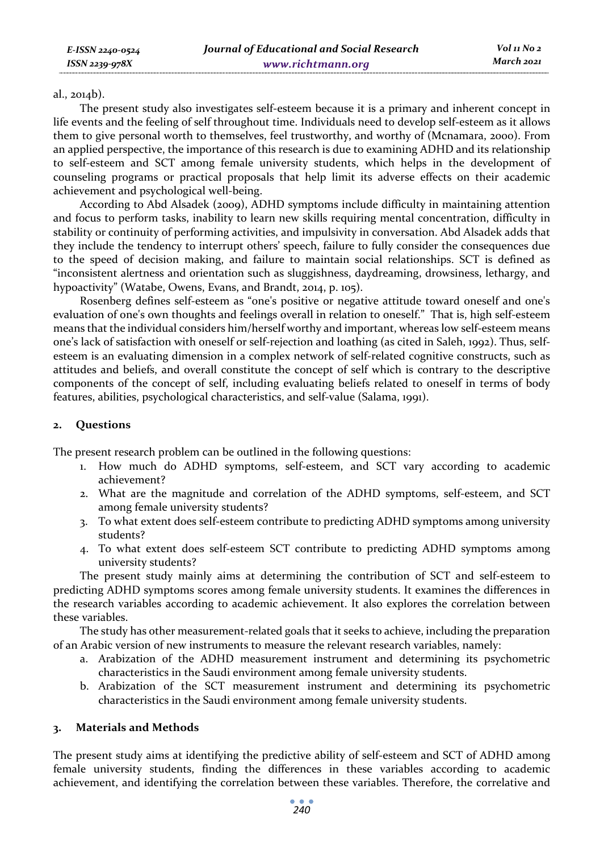#### al., 2014b).

The present study also investigates self-esteem because it is a primary and inherent concept in life events and the feeling of self throughout time. Individuals need to develop self-esteem as it allows them to give personal worth to themselves, feel trustworthy, and worthy of (Mcnamara, 2000). From an applied perspective, the importance of this research is due to examining ADHD and its relationship to self-esteem and SCT among female university students, which helps in the development of counseling programs or practical proposals that help limit its adverse effects on their academic achievement and psychological well-being.

According to Abd Alsadek (2009), ADHD symptoms include difficulty in maintaining attention and focus to perform tasks, inability to learn new skills requiring mental concentration, difficulty in stability or continuity of performing activities, and impulsivity in conversation. Abd Alsadek adds that they include the tendency to interrupt others' speech, failure to fully consider the consequences due to the speed of decision making, and failure to maintain social relationships. SCT is defined as "inconsistent alertness and orientation such as sluggishness, daydreaming, drowsiness, lethargy, and hypoactivity" (Watabe, Owens, Evans, and Brandt, 2014, p. 105).

Rosenberg defines self-esteem as "one's positive or negative attitude toward oneself and one's evaluation of one's own thoughts and feelings overall in relation to oneself." That is, high self-esteem means that the individual considers him/herself worthy and important, whereas low self-esteem means one's lack of satisfaction with oneself or self-rejection and loathing (as cited in Saleh, 1992). Thus, selfesteem is an evaluating dimension in a complex network of self-related cognitive constructs, such as attitudes and beliefs, and overall constitute the concept of self which is contrary to the descriptive components of the concept of self, including evaluating beliefs related to oneself in terms of body features, abilities, psychological characteristics, and self-value (Salama, 1991).

# **2. Questions**

The present research problem can be outlined in the following questions:

- 1. How much do ADHD symptoms, self-esteem, and SCT vary according to academic achievement?
- 2. What are the magnitude and correlation of the ADHD symptoms, self-esteem, and SCT among female university students?
- 3. To what extent does self-esteem contribute to predicting ADHD symptoms among university students?
- 4. To what extent does self-esteem SCT contribute to predicting ADHD symptoms among university students?

The present study mainly aims at determining the contribution of SCT and self-esteem to predicting ADHD symptoms scores among female university students. It examines the differences in the research variables according to academic achievement. It also explores the correlation between these variables.

The study has other measurement-related goals that it seeks to achieve, including the preparation of an Arabic version of new instruments to measure the relevant research variables, namely:

- a. Arabization of the ADHD measurement instrument and determining its psychometric characteristics in the Saudi environment among female university students.
- b. Arabization of the SCT measurement instrument and determining its psychometric characteristics in the Saudi environment among female university students.

# **3. Materials and Methods**

The present study aims at identifying the predictive ability of self-esteem and SCT of ADHD among female university students, finding the differences in these variables according to academic achievement, and identifying the correlation between these variables. Therefore, the correlative and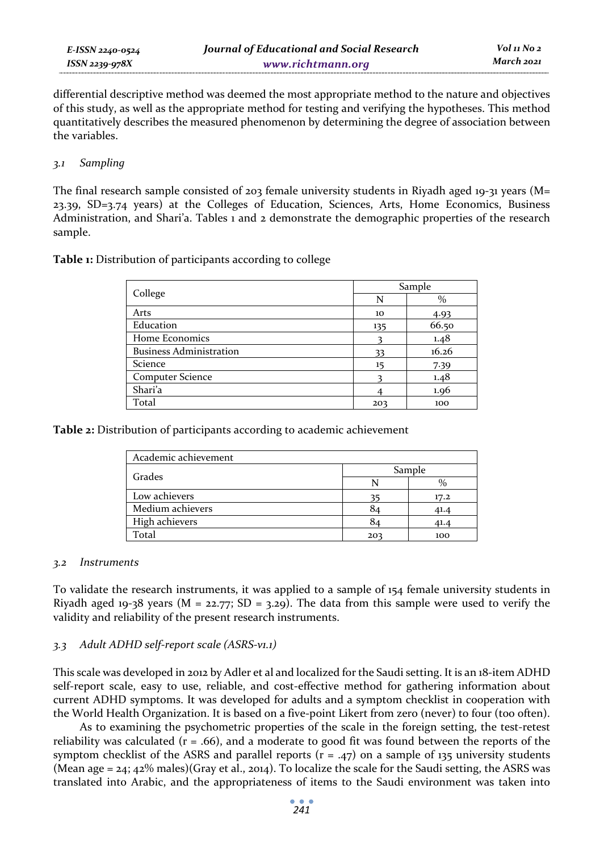*E-ISSN 2240-0524 ISSN 2239-978X*

differential descriptive method was deemed the most appropriate method to the nature and objectives of this study, as well as the appropriate method for testing and verifying the hypotheses. This method quantitatively describes the measured phenomenon by determining the degree of association between the variables.

### *3.1 Sampling*

The final research sample consisted of 203 female university students in Riyadh aged 19-31 years ( $M=$ 23.39, SD=3.74 years) at the Colleges of Education, Sciences, Arts, Home Economics, Business Administration, and Shari'a. Tables 1 and 2 demonstrate the demographic properties of the research sample.

**Table 1:** Distribution of participants according to college

|                                |     | Sample |
|--------------------------------|-----|--------|
| College                        | N   | $\%$   |
| Arts                           | 10  | 4.93   |
| Education                      | 135 | 66.50  |
| Home Economics                 |     | 1.48   |
| <b>Business Administration</b> | 33  | 16.26  |
| Science                        | 15  | 7.39   |
| <b>Computer Science</b>        |     | 1.48   |
| Shari'a                        |     | 1.96   |
| Total                          | 203 | 100    |

**Table 2:** Distribution of participants according to academic achievement

| Academic achievement |        |      |  |  |  |  |
|----------------------|--------|------|--|--|--|--|
| Grades               | Sample |      |  |  |  |  |
|                      |        |      |  |  |  |  |
| Low achievers        | 35     | 17.2 |  |  |  |  |
| Medium achievers     | 84     | 41.4 |  |  |  |  |
| High achievers       | 84     | 41.4 |  |  |  |  |
| Total                | 203    | 100  |  |  |  |  |

# *3.2 Instruments*

To validate the research instruments, it was applied to a sample of 154 female university students in Riyadh aged 19-38 years ( $M = 22.77$ ; SD = 3.29). The data from this sample were used to verify the validity and reliability of the present research instruments.

# *3.3 Adult ADHD self-report scale (ASRS-v1.1)*

This scale was developed in 2012 by Adler et al and localized for the Saudi setting. It is an 18-item ADHD self-report scale, easy to use, reliable, and cost-effective method for gathering information about current ADHD symptoms. It was developed for adults and a symptom checklist in cooperation with the World Health Organization. It is based on a five-point Likert from zero (never) to four (too often).

As to examining the psychometric properties of the scale in the foreign setting, the test-retest reliability was calculated ( $r = .66$ ), and a moderate to good fit was found between the reports of the symptom checklist of the ASRS and parallel reports ( $r = .47$ ) on a sample of 135 university students (Mean age  $=$  24; 42% males)(Gray et al., 2014). To localize the scale for the Saudi setting, the ASRS was translated into Arabic, and the appropriateness of items to the Saudi environment was taken into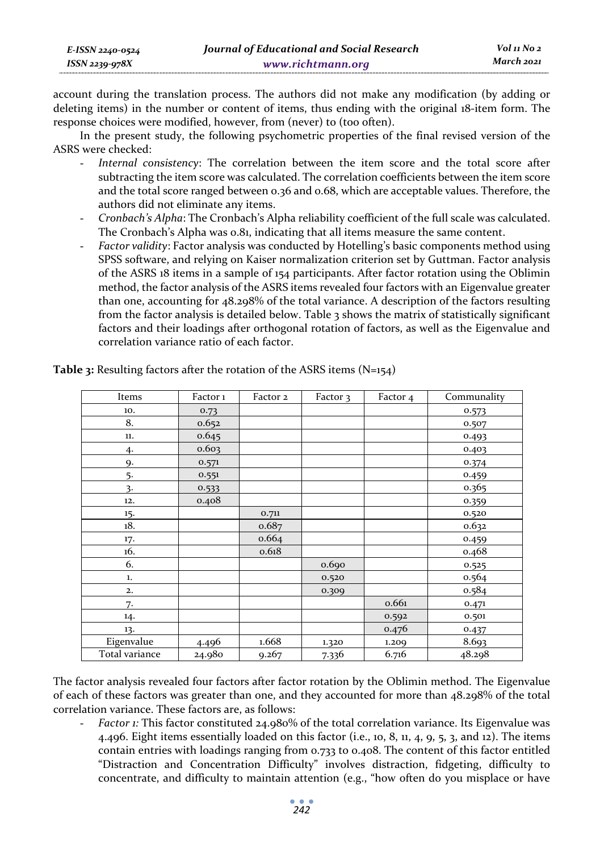| E-ISSN 2240-0524    | Journal of Educational and Social Research | Vol 11 No 2 |
|---------------------|--------------------------------------------|-------------|
| $ISSN$ 2239-97 $8X$ | www.richtmann.org                          | March 2021  |

account during the translation process. The authors did not make any modification (by adding or deleting items) in the number or content of items, thus ending with the original 18-item form. The response choices were modified, however, from (never) to (too often).

In the present study, the following psychometric properties of the final revised version of the ASRS were checked:

- Internal consistency: The correlation between the item score and the total score after subtracting the item score was calculated. The correlation coefficients between the item score and the total score ranged between 0.36 and 0.68, which are acceptable values. Therefore, the authors did not eliminate any items.
- *Cronbach's Alpha*: The Cronbach's Alpha reliability coefficient of the full scale was calculated. The Cronbach's Alpha was 0.81, indicating that all items measure the same content.
- Factor validity: Factor analysis was conducted by Hotelling's basic components method using SPSS software, and relying on Kaiser normalization criterion set by Guttman. Factor analysis of the ASRS 18 items in a sample of 154 participants. After factor rotation using the Oblimin method, the factor analysis of the ASRS items revealed four factors with an Eigenvalue greater than one, accounting for 48.298% of the total variance. A description of the factors resulting from the factor analysis is detailed below. Table 3 shows the matrix of statistically significant factors and their loadings after orthogonal rotation of factors, as well as the Eigenvalue and correlation variance ratio of each factor.

| Items          | Factor <sub>1</sub> | Factor 2 | Factor 3 | Factor 4 | Communality |
|----------------|---------------------|----------|----------|----------|-------------|
| 10.            | 0.73                |          |          |          | 0.573       |
| 8.             | 0.652               |          |          |          | 0.507       |
| 11.            | 0.645               |          |          |          | 0.493       |
| 4.             | 0.603               |          |          |          | 0.403       |
| 9.             | 0.571               |          |          |          | 0.374       |
| 5.             | 0.551               |          |          |          | 0.459       |
| 3.             | 0.533               |          |          |          | 0.365       |
| 12.            | 0.408               |          |          |          | 0.359       |
| 15.            |                     | 0.711    |          |          | 0.520       |
| 18.            |                     | 0.687    |          |          | 0.632       |
| 17.            |                     | 0.664    |          |          | 0.459       |
| 16.            |                     | 0.618    |          |          | 0.468       |
| 6.             |                     |          | 0.690    |          | 0.525       |
| 1.             |                     |          | 0.520    |          | 0.564       |
| 2.             |                     |          | 0.309    |          | 0.584       |
| 7.             |                     |          |          | 0.661    | 0.471       |
| 14.            |                     |          |          | 0.592    | 0.501       |
| 13.            |                     |          |          | 0.476    | 0.437       |
| Eigenvalue     | 4.496               | 1.668    | 1.320    | 1.209    | 8.693       |
| Total variance | 24.980              | 9.267    | 7.336    | 6.716    | 48.298      |

**Table 3:** Resulting factors after the rotation of the ASRS items (N=154)

The factor analysis revealed four factors after factor rotation by the Oblimin method. The Eigenvalue of each of these factors was greater than one, and they accounted for more than 48.298% of the total correlation variance. These factors are, as follows:

- *Factor 1:* This factor constituted 24.980% of the total correlation variance. Its Eigenvalue was 4.496. Eight items essentially loaded on this factor (i.e., 10, 8, 11, 4, 9, 5, 3, and 12). The items contain entries with loadings ranging from 0.733 to 0.408. The content of this factor entitled "Distraction and Concentration Difficulty" involves distraction, fidgeting, difficulty to concentrate, and difficulty to maintain attention (e.g., "how often do you misplace or have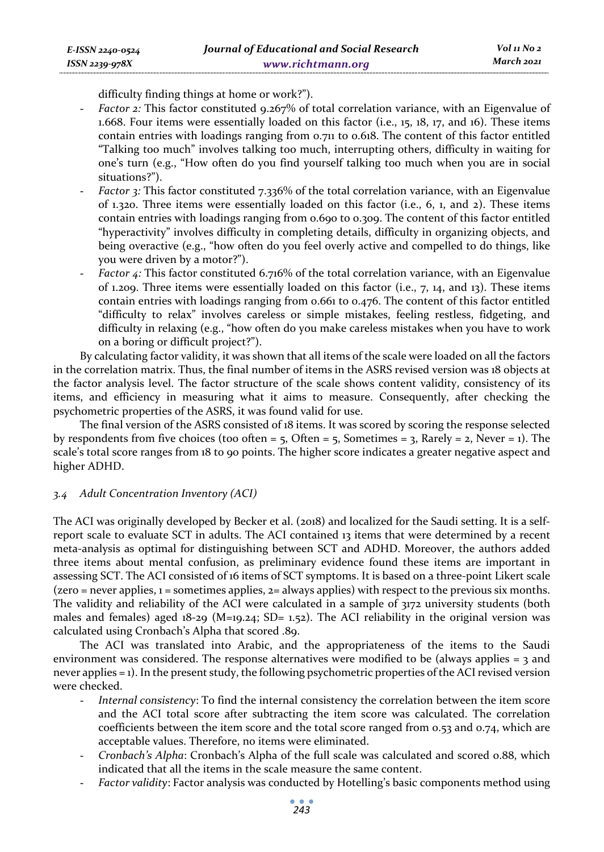difficulty finding things at home or work?").

- *Factor 2:* This factor constituted 9.267% of total correlation variance, with an Eigenvalue of 1.668. Four items were essentially loaded on this factor (i.e., 15, 18, 17, and 16). These items contain entries with loadings ranging from 0.711 to 0.618. The content of this factor entitled "Talking too much" involves talking too much, interrupting others, difficulty in waiting for one's turn (e.g., "How often do you find yourself talking too much when you are in social situations?").
- *Factor* 3: This factor constituted 7.336% of the total correlation variance, with an Eigenvalue of 1.320. Three items were essentially loaded on this factor (i.e., 6, 1, and 2). These items contain entries with loadings ranging from 0.690 to 0.309. The content of this factor entitled "hyperactivity" involves difficulty in completing details, difficulty in organizing objects, and being overactive (e.g., "how often do you feel overly active and compelled to do things, like you were driven by a motor?").
- *Factor 4*: This factor constituted 6.716% of the total correlation variance, with an Eigenvalue of 1.209. Three items were essentially loaded on this factor (i.e., 7, 14, and 13). These items contain entries with loadings ranging from 0.661 to 0.476. The content of this factor entitled "difficulty to relax" involves careless or simple mistakes, feeling restless, fidgeting, and difficulty in relaxing (e.g., "how often do you make careless mistakes when you have to work on a boring or difficult project?").

By calculating factor validity, it was shown that all items of the scale were loaded on all the factors in the correlation matrix. Thus, the final number of items in the ASRS revised version was 18 objects at the factor analysis level. The factor structure of the scale shows content validity, consistency of its items, and efficiency in measuring what it aims to measure. Consequently, after checking the psychometric properties of the ASRS, it was found valid for use.

The final version of the ASRS consisted of 18 items. It was scored by scoring the response selected by respondents from five choices (too often =  $5$ , Often =  $5$ , Sometimes =  $3$ , Rarely =  $2$ , Never = 1). The scale's total score ranges from 18 to 90 points. The higher score indicates a greater negative aspect and higher ADHD.

#### *3.4 Adult Concentration Inventory (ACI)*

The ACI was originally developed by Becker et al. (2018) and localized for the Saudi setting. It is a selfreport scale to evaluate SCT in adults. The ACI contained 13 items that were determined by a recent meta-analysis as optimal for distinguishing between SCT and ADHD. Moreover, the authors added three items about mental confusion, as preliminary evidence found these items are important in assessing SCT. The ACI consisted of 16 items of SCT symptoms. It is based on a three-point Likert scale  $(zero = never applies,  $1 = 1$  is a possible) with respect to the previous six months.$ The validity and reliability of the ACI were calculated in a sample of 3172 university students (both males and females) aged  $18-29$  (M=19.24; SD= 1.52). The ACI reliability in the original version was calculated using Cronbach's Alpha that scored .89.

The ACI was translated into Arabic, and the appropriateness of the items to the Saudi environment was considered. The response alternatives were modified to be (always applies  $=$  3 and never applies = 1). In the present study, the following psychometric properties of the ACI revised version were checked.

- *Internal consistency*: To find the internal consistency the correlation between the item score and the ACI total score after subtracting the item score was calculated. The correlation coefficients between the item score and the total score ranged from 0.53 and 0.74, which are acceptable values. Therefore, no items were eliminated.
- *Cronbach's Alpha*: Cronbach's Alpha of the full scale was calculated and scored 0.88, which indicated that all the items in the scale measure the same content.
- *Factor validity*: Factor analysis was conducted by Hotelling's basic components method using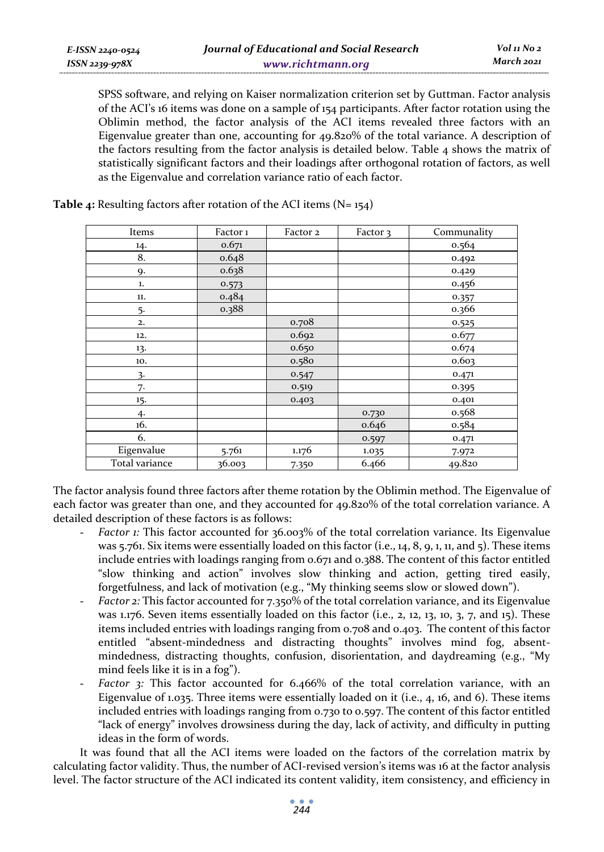SPSS software, and relying on Kaiser normalization criterion set by Guttman. Factor analysis of the ACI's 16 items was done on a sample of 154 participants. After factor rotation using the Oblimin method, the factor analysis of the ACI items revealed three factors with an Eigenvalue greater than one, accounting for 49.820% of the total variance. A description of the factors resulting from the factor analysis is detailed below. Table  $4$  shows the matrix of statistically significant factors and their loadings after orthogonal rotation of factors, as well as the Eigenvalue and correlation variance ratio of each factor.

| Items          | Factor 1 | Factor 2 | Factor 3 | Communality |
|----------------|----------|----------|----------|-------------|
| 14.            | 0.671    |          |          | 0.564       |
| 8.             | 0.648    |          |          | 0.492       |
| 9.             | 0.638    |          |          | 0.429       |
| ${\bf 1.}$     | 0.573    |          |          | 0.456       |
| 11.            | 0.484    |          |          | 0.357       |
| 5.             | 0.388    |          |          | 0.366       |
| 2.             |          | 0.708    |          | 0.525       |
| 12.            |          | 0.692    |          | 0.677       |
| 13.            |          | 0.650    |          | 0.674       |
| 10.            |          | 0.580    |          | 0.603       |
| 3.             |          | 0.547    |          | 0.471       |
| 7.             |          | 0.519    |          | 0.395       |
| 15.            |          | 0.403    |          | 0.401       |
| 4.             |          |          | 0.730    | 0.568       |
| 16.            |          |          | 0.646    | 0.584       |
| 6.             |          |          | 0.597    | 0.471       |
| Eigenvalue     | 5.761    | 1.176    | 1.035    | 7.972       |
| Total variance | 36.003   | 7.350    | 6.466    | 49.820      |

**Table 4:** Resulting factors after rotation of the ACI items (N= 154)

The factor analysis found three factors after theme rotation by the Oblimin method. The Eigenvalue of each factor was greater than one, and they accounted for 49.820% of the total correlation variance. A detailed description of these factors is as follows:

- *Factor 1:* This factor accounted for 36.003% of the total correlation variance. Its Eigenvalue was 5.761. Six items were essentially loaded on this factor (i.e., 14, 8, 9, 1, 11, and 5). These items include entries with loadings ranging from 0.671 and 0.388. The content of this factor entitled "slow thinking and action" involves slow thinking and action, getting tired easily, forgetfulness, and lack of motivation (e.g., "My thinking seems slow or slowed down").
- *Factor 2:* This factor accounted for 7.350% of the total correlation variance, and its Eigenvalue was 1.176. Seven items essentially loaded on this factor (i.e., 2, 12, 13, 10, 3, 7, and 15). These items included entries with loadings ranging from 0.708 and 0.403. The content of this factor entitled "absent-mindedness and distracting thoughts" involves mind fog, absentmindedness, distracting thoughts, confusion, disorientation, and daydreaming (e.g., "My mind feels like it is in a fog").
- *Factor* 3: This factor accounted for 6.466% of the total correlation variance, with an Eigenvalue of 1.035. Three items were essentially loaded on it (i.e., 4, 16, and 6). These items included entries with loadings ranging from 0.730 to 0.597. The content of this factor entitled "lack of energy" involves drowsiness during the day, lack of activity, and difficulty in putting ideas in the form of words.

It was found that all the ACI items were loaded on the factors of the correlation matrix by calculating factor validity. Thus, the number of ACI-revised version's items was 16 at the factor analysis level. The factor structure of the ACI indicated its content validity, item consistency, and efficiency in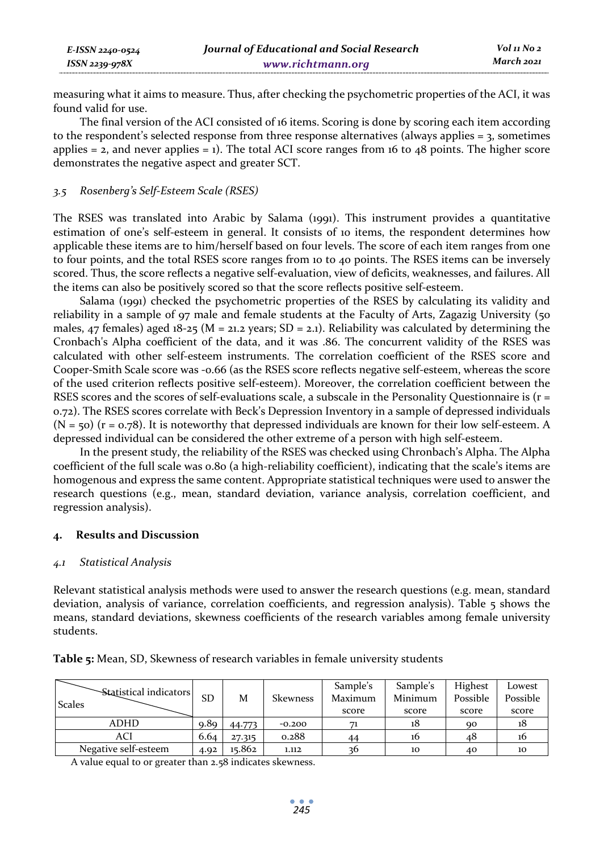| E-ISSN 2240-0524 | Journal of Educational and Social Research | Vol 11 No 2 |
|------------------|--------------------------------------------|-------------|
| ISSN 2239-978X   | www.richtmann.org                          | March 2021  |

measuring what it aims to measure. Thus, after checking the psychometric properties of the ACI, it was found valid for use.

The final version of the ACI consisted of 16 items. Scoring is done by scoring each item according to the respondent's selected response from three response alternatives (always applies  $=$  3, sometimes applies  $= 2$ , and never applies  $= 1$ ). The total ACI score ranges from 16 to 48 points. The higher score demonstrates the negative aspect and greater SCT.

#### *3.5 Rosenberg's Self-Esteem Scale (RSES)*

The RSES was translated into Arabic by Salama (1991). This instrument provides a quantitative estimation of one's self-esteem in general. It consists of 10 items, the respondent determines how applicable these items are to him/herself based on four levels. The score of each item ranges from one to four points, and the total RSES score ranges from 10 to 40 points. The RSES items can be inversely scored. Thus, the score reflects a negative self-evaluation, view of deficits, weaknesses, and failures. All the items can also be positively scored so that the score reflects positive self-esteem.

Salama (1991) checked the psychometric properties of the RSES by calculating its validity and reliability in a sample of 97 male and female students at the Faculty of Arts, Zagazig University (50 males, 47 females) aged 18-25 ( $M = 21.2$  years; SD = 2.1). Reliability was calculated by determining the Cronbach's Alpha coefficient of the data, and it was .86. The concurrent validity of the RSES was calculated with other self-esteem instruments. The correlation coefficient of the RSES score and Cooper-Smith Scale score was -0.66 (as the RSES score reflects negative self-esteem, whereas the score of the used criterion reflects positive self-esteem). Moreover, the correlation coefficient between the RSES scores and the scores of self-evaluations scale, a subscale in the Personality Questionnaire is ( $r =$ 0.72). The RSES scores correlate with Beck's Depression Inventory in a sample of depressed individuals  $(N = 50)$  (r = 0.78). It is noteworthy that depressed individuals are known for their low self-esteem. A depressed individual can be considered the other extreme of a person with high self-esteem.

In the present study, the reliability of the RSES was checked using Chronbach's Alpha. The Alpha coefficient of the full scale was 0.80 (a high-reliability coefficient), indicating that the scale's items are homogenous and express the same content. Appropriate statistical techniques were used to answer the research questions (e.g., mean, standard deviation, variance analysis, correlation coefficient, and regression analysis).

### **4. Results and Discussion**

#### *4.1 Statistical Analysis*

Relevant statistical analysis methods were used to answer the research questions (e.g. mean, standard deviation, analysis of variance, correlation coefficients, and regression analysis). Table 5 shows the means, standard deviations, skewness coefficients of the research variables among female university students.

| <b>Scales</b> | Statistical indicators | <b>SD</b> | M      | <b>Skewness</b> | Sample's<br>Maximum | Sample's<br>Minimum | Highest<br>Possible | Lowest<br>Possible |
|---------------|------------------------|-----------|--------|-----------------|---------------------|---------------------|---------------------|--------------------|
|               |                        |           |        |                 | score               | score               | score               | score              |
|               | ADHD                   | 9.89      | 44.773 | $-0.200$        |                     | 18                  | QQ                  | 18                 |
|               | ACI                    | 6.64      | 27.315 | 0.288           | 44                  | 16                  | 48                  | 10                 |
|               | Negative self-esteem   | 4.92      | 15.862 | 1.112           |                     | 10                  | 40                  | 10                 |

**Table 5:** Mean, SD, Skewness of research variables in female university students

A value equal to or greater than 2.58 indicates skewness.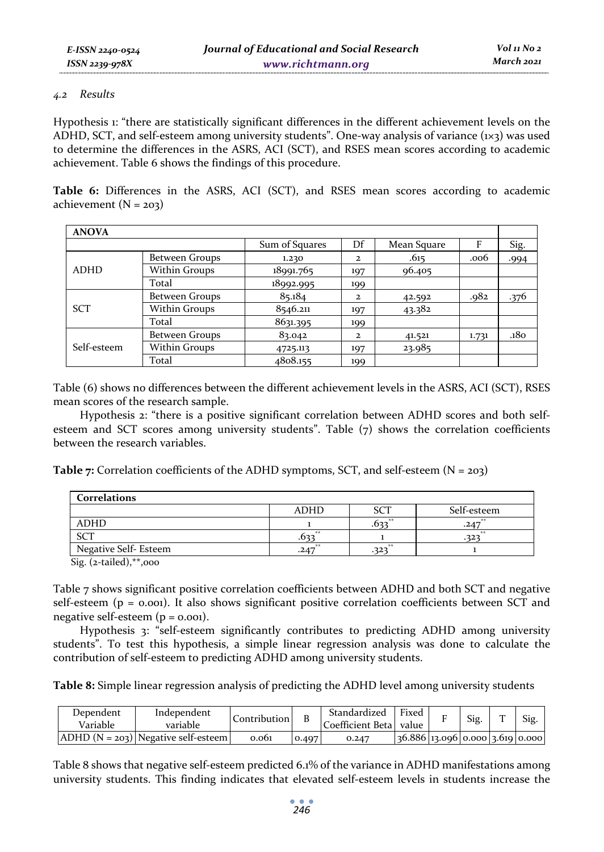### *4.2 Results*

Hypothesis 1: "there are statistically significant differences in the different achievement levels on the ADHD, SCT, and self-esteem among university students". One-way analysis of variance  $(x_3)$  was used to determine the differences in the ASRS, ACI (SCT), and RSES mean scores according to academic achievement. Table 6 shows the findings of this procedure.

**Table 6:** Differences in the ASRS, ACI (SCT), and RSES mean scores according to academic achievement  $(N = 203)$ 

| <b>ANOVA</b> |                |                |              |             |       |      |
|--------------|----------------|----------------|--------------|-------------|-------|------|
|              |                | Sum of Squares | Df           | Mean Square | F     | Sig. |
|              | Between Groups | 1.230          | $\mathbf{z}$ | .615        | .006  | .994 |
| <b>ADHD</b>  | Within Groups  | 18991.765      | 197          | 96.405      |       |      |
|              | Total          | 18992.995      | 199          |             |       |      |
|              | Between Groups | 85.184         | $\mathbf{z}$ | 42.592      | .982  | .376 |
| <b>SCT</b>   | Within Groups  | 8546.211       | 197          | 43.382      |       |      |
|              | Total          | 8631.395       | 199          |             |       |      |
|              | Between Groups | 83.042         | $\mathbf{z}$ | 41.521      | 1.731 | .180 |
| Self-esteem  | Within Groups  | 4725.113       | 197          | 23.985      |       |      |
|              | Total          | 4808.155       | 199          |             |       |      |

Table (6) shows no differences between the different achievement levels in the ASRS, ACI (SCT), RSES mean scores of the research sample.

Hypothesis 2: "there is a positive significant correlation between ADHD scores and both selfesteem and SCT scores among university students". Table (7) shows the correlation coefficients between the research variables.

**Table 7:** Correlation coefficients of the ADHD symptoms, SCT, and self-esteem (N = 203)

| Correlations          |             |            |             |
|-----------------------|-------------|------------|-------------|
|                       | <b>ADHD</b> | <b>SCT</b> | Self-esteem |
| <b>ADHD</b>           |             | 大大<br>.027 | **<br>.247  |
| <b>SCT</b>            | 大大<br>-037  |            | 大丈<br>.322  |
| Negative Self- Esteem | **<br>.247  | **<br>323  |             |

Sig. (2-tailed),\*\*,000

Table 7 shows significant positive correlation coefficients between ADHD and both SCT and negative self-esteem  $(p = 0.001)$ . It also shows significant positive correlation coefficients between SCT and negative self-esteem  $(p = 0.001)$ .

Hypothesis 3: "self-esteem significantly contributes to predicting ADHD among university students". To test this hypothesis, a simple linear regression analysis was done to calculate the contribution of self-esteem to predicting ADHD among university students.

**Table 8:** Simple linear regression analysis of predicting the ADHD level among university students

| Dependent<br>Variable | Independent<br>variable               | Contribution | B     | Standardized<br>Coefficient Betal value | Fixed                             | Sig. | m | Sig. |
|-----------------------|---------------------------------------|--------------|-------|-----------------------------------------|-----------------------------------|------|---|------|
|                       | $ADHD (N = 203)$ Negative self-esteem | 0.061        | 0.497 | 0.247                                   | $36.886$ 13.096 0.000 3.619 0.000 |      |   |      |

Table 8 shows that negative self-esteem predicted 6.1% of the variance in ADHD manifestations among university students. This finding indicates that elevated self-esteem levels in students increase the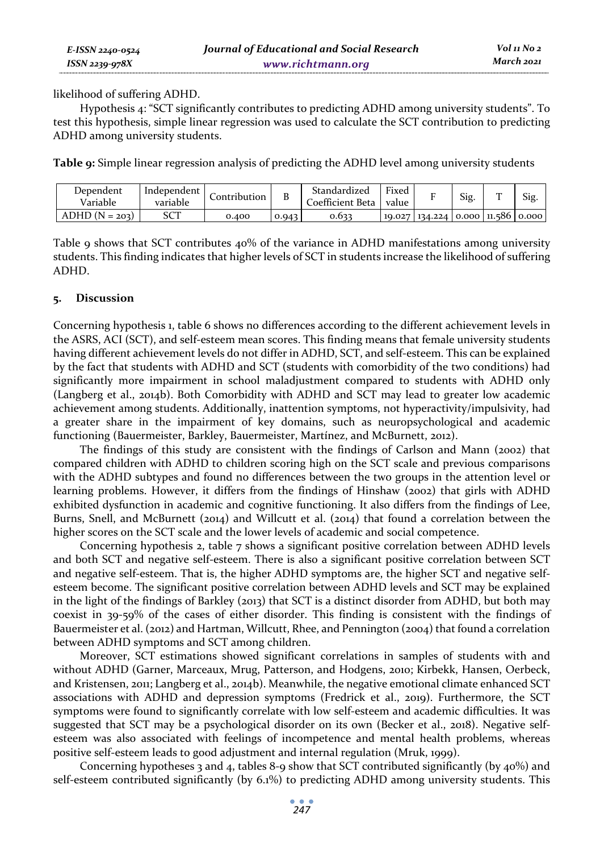| E-ISSN 2240-0524 | Journal of Educational and Social Research | Vol 11 No 2 |
|------------------|--------------------------------------------|-------------|
| ISSN 2239-978X   | www.richtmann.org                          | March 2021  |

likelihood of suffering ADHD.

Hypothesis 4: "SCT significantly contributes to predicting ADHD among university students". To test this hypothesis, simple linear regression was used to calculate the SCT contribution to predicting ADHD among university students.

**Table 9:** Simple linear regression analysis of predicting the ADHD level among university students

| Dependent<br>Variable | Independent<br>variable | Lontribution | D     | Standardized<br>Coefficient Beta | Fixed<br>value |                              | Sig. | Sig. |
|-----------------------|-------------------------|--------------|-------|----------------------------------|----------------|------------------------------|------|------|
| $ADHD (N = 203)$      | SCT                     | 0.400        | 0.943 | 0.633                            | 10.027         | $134.224$ 0.000 11.586 0.000 |      |      |

Table 9 shows that SCT contributes 40% of the variance in ADHD manifestations among university students. This finding indicates that higher levels of SCT in students increase the likelihood of suffering ADHD.

#### **5. Discussion**

Concerning hypothesis 1, table 6 shows no differences according to the different achievement levels in the ASRS, ACI (SCT), and self-esteem mean scores. This finding means that female university students having different achievement levels do not differ in ADHD, SCT, and self-esteem. This can be explained by the fact that students with ADHD and SCT (students with comorbidity of the two conditions) had significantly more impairment in school maladjustment compared to students with ADHD only (Langberg et al., 2014b). Both Comorbidity with ADHD and SCT may lead to greater low academic achievement among students. Additionally, inattention symptoms, not hyperactivity/impulsivity, had a greater share in the impairment of key domains, such as neuropsychological and academic functioning (Bauermeister, Barkley, Bauermeister, Martínez, and McBurnett, 2012).

The findings of this study are consistent with the findings of Carlson and Mann (2002) that compared children with ADHD to children scoring high on the SCT scale and previous comparisons with the ADHD subtypes and found no differences between the two groups in the attention level or learning problems. However, it differs from the findings of Hinshaw (2002) that girls with ADHD exhibited dysfunction in academic and cognitive functioning. It also differs from the findings of Lee, Burns, Snell, and McBurnett (2014) and Willcutt et al. (2014) that found a correlation between the higher scores on the SCT scale and the lower levels of academic and social competence.

Concerning hypothesis 2, table 7 shows a significant positive correlation between ADHD levels and both SCT and negative self-esteem. There is also a significant positive correlation between SCT and negative self-esteem. That is, the higher ADHD symptoms are, the higher SCT and negative selfesteem become. The significant positive correlation between ADHD levels and SCT may be explained in the light of the findings of Barkley (2013) that SCT is a distinct disorder from ADHD, but both may coexist in 39-59% of the cases of either disorder. This finding is consistent with the findings of Bauermeister et al. (2012) and Hartman, Willcutt, Rhee, and Pennington (2004) that found a correlation between ADHD symptoms and SCT among children.

Moreover, SCT estimations showed significant correlations in samples of students with and without ADHD (Garner, Marceaux, Mrug, Patterson, and Hodgens, 2010; Kirbekk, Hansen, Oerbeck, and Kristensen, 2011; Langberg et al., 2014b). Meanwhile, the negative emotional climate enhanced SCT associations with ADHD and depression symptoms (Fredrick et al., 2019). Furthermore, the SCT symptoms were found to significantly correlate with low self-esteem and academic difficulties. It was suggested that SCT may be a psychological disorder on its own (Becker et al., 2018). Negative selfesteem was also associated with feelings of incompetence and mental health problems, whereas positive self-esteem leads to good adjustment and internal regulation (Mruk, 1999).

Concerning hypotheses 3 and 4, tables 8-9 show that SCT contributed significantly (by  $40\%$ ) and self-esteem contributed significantly (by 6.1%) to predicting ADHD among university students. This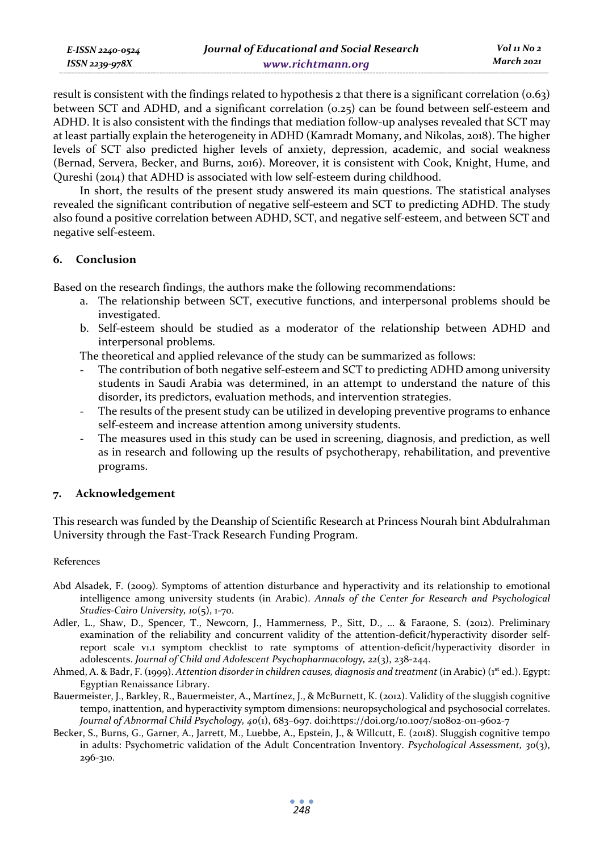| E-ISSN 2240-0524 | Journal of Educational and Social Research | Vol 11 No 2 |
|------------------|--------------------------------------------|-------------|
| ISSN 2239-978X   | www.richtmann.org                          | March 2021  |

result is consistent with the findings related to hypothesis  $\alpha$  that there is a significant correlation (0.63) between SCT and ADHD, and a significant correlation (0.25) can be found between self-esteem and ADHD. It is also consistent with the findings that mediation follow-up analyses revealed that SCT may at least partially explain the heterogeneity in ADHD (Kamradt Momany, and Nikolas, 2018). The higher levels of SCT also predicted higher levels of anxiety, depression, academic, and social weakness (Bernad, Servera, Becker, and Burns, 2016). Moreover, it is consistent with Cook, Knight, Hume, and Qureshi (2014) that ADHD is associated with low self-esteem during childhood.

In short, the results of the present study answered its main questions. The statistical analyses revealed the significant contribution of negative self-esteem and SCT to predicting ADHD. The study also found a positive correlation between ADHD, SCT, and negative self-esteem, and between SCT and negative self-esteem.

# **6. Conclusion**

Based on the research findings, the authors make the following recommendations:

- a. The relationship between SCT, executive functions, and interpersonal problems should be investigated.
- b. Self-esteem should be studied as a moderator of the relationship between ADHD and interpersonal problems.

The theoretical and applied relevance of the study can be summarized as follows:

- The contribution of both negative self-esteem and SCT to predicting ADHD among university students in Saudi Arabia was determined, in an attempt to understand the nature of this disorder, its predictors, evaluation methods, and intervention strategies.
- The results of the present study can be utilized in developing preventive programs to enhance self-esteem and increase attention among university students.
- The measures used in this study can be used in screening, diagnosis, and prediction, as well as in research and following up the results of psychotherapy, rehabilitation, and preventive programs.

### **7. Acknowledgement**

This research was funded by the Deanship of Scientific Research at Princess Nourah bint Abdulrahman University through the Fast-Track Research Funding Program.

#### References

- Abd Alsadek, F. (2009). Symptoms of attention disturbance and hyperactivity and its relationship to emotional intelligence among university students (in Arabic). *Annals of the Center for Research and Psychological Studies-Cairo University, 10*(5), 1-70.
- Adler, L., Shaw, D., Spencer, T., Newcorn, J., Hammerness, P., Sitt, D., … & Faraone, S. (2012). Preliminary examination of the reliability and concurrent validity of the attention-deficit/hyperactivity disorder selfreport scale v1.1 symptom checklist to rate symptoms of attention-deficit/hyperactivity disorder in adolescents. *Journal of Child and Adolescent Psychopharmacology, 22*(3), 238-244.
- Ahmed, A. & Badr, F. (1999). *Attention disorder in children causes, diagnosis and treatment* (in Arabic) (1st ed.). Egypt: Egyptian Renaissance Library.
- Bauermeister, J., Barkley, R., Bauermeister, A., Martínez, J., & McBurnett, K. (2012). Validity of the sluggish cognitive tempo, inattention, and hyperactivity symptom dimensions: neuropsychological and psychosocial correlates. *Journal of Abnormal Child Psychology, 40*(1), 683–697. doi:https://doi.org/10.1007/s10802-011-9602-7
- Becker, S., Burns, G., Garner, A., Jarrett, M., Luebbe, A., Epstein, J., & Willcutt, E. (2018). Sluggish cognitive tempo in adults: Psychometric validation of the Adult Concentration Inventory. *Psychological Assessment, 30*(3), 296-310.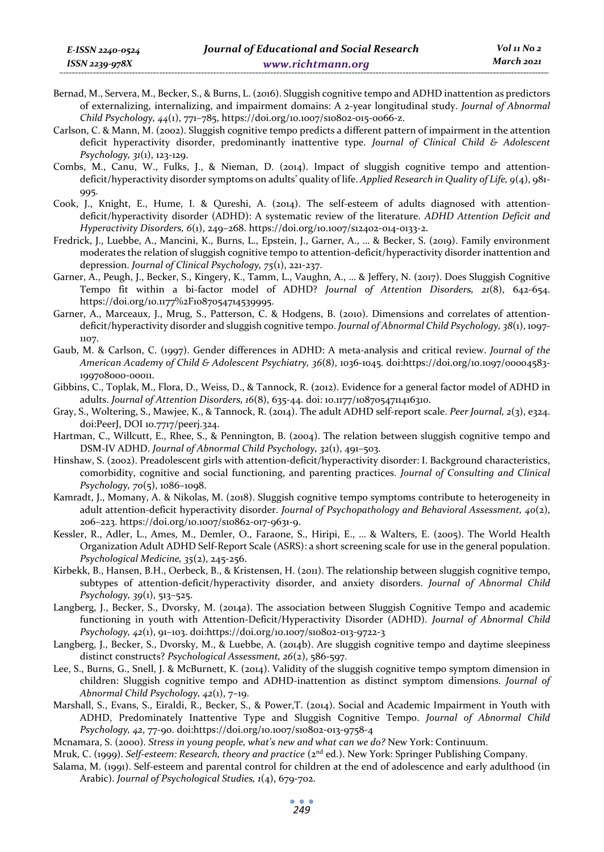- Bernad, M., Servera, M., Becker, S., & Burns, L. (2016). Sluggish cognitive tempo and ADHD inattention as predictors of externalizing, internalizing, and impairment domains: A 2-year longitudinal study. *Journal of Abnormal Child Psychology, 44*(1), 771–785, https://doi.org/10.1007/s10802-015-0066-z.
- Carlson, C. & Mann, M. (2002). Sluggish cognitive tempo predicts a different pattern of impairment in the attention deficit hyperactivity disorder, predominantly inattentive type. *Journal of Clinical Child & Adolescent Psychology, 31*(1), 123-129.
- Combs, M., Canu, W., Fulks, J., & Nieman, D. (2014). Impact of sluggish cognitive tempo and attentiondeficit/hyperactivity disorder symptoms on adults' quality of life. *Applied Research in Quality of Life, 9*(4), 981- 995.
- Cook, J., Knight, E., Hume, I. & Qureshi, A. (2014). The self-esteem of adults diagnosed with attentiondeficit/hyperactivity disorder (ADHD): A systematic review of the literature. *ADHD Attention Deficit and Hyperactivity Disorders, 6*(1), 249–268. https://doi.org/10.1007/s12402-014-0133-2.
- Fredrick, J., Luebbe, A., Mancini, K., Burns, L., Epstein, J., Garner, A., … & Becker, S. (2019). Family environment moderates the relation of sluggish cognitive tempo to attention-deficit/hyperactivity disorder inattention and depression. *Journal of Clinical Psychology, 75*(1), 221-237.
- Garner, A., Peugh, J., Becker, S., Kingery, K., Tamm, L., Vaughn, A., … & Jeffery, N. (2017). Does Sluggish Cognitive Tempo fit within a bi-factor model of ADHD? *Journal of Attention Disorders, 21*(8), 642-654. https://doi.org/10.1177%2F1087054714539995.
- Garner, A., Marceaux, J., Mrug, S., Patterson, C. & Hodgens, B. (2010). Dimensions and correlates of attentiondeficit/hyperactivity disorder and sluggish cognitive tempo. *Journal of Abnormal Child Psychology, 38*(1), 1097- 1107.
- Gaub, M. & Carlson, C. (1997). Gender differences in ADHD: A meta-analysis and critical review. *Journal of the American Academy of Child & Adolescent Psychiatry, 36*(8), 1036-1045. doi:https://doi.org/10.1097/00004583- 199708000-00011.
- Gibbins, C., Toplak, M., Flora, D., Weiss, D., & Tannock, R. (2012). Evidence for a general factor model of ADHD in adults. *Journal of Attention Disorders, 16*(8), 635-44. doi: 10.1177/1087054711416310.
- Gray, S., Woltering, S., Mawjee, K., & Tannock, R. (2014). The adult ADHD self-report scale. *Peer Journal, 2*(3), e324. doi:PeerJ, DOI 10.7717/peerj.324.
- Hartman, C., Willcutt, E., Rhee, S., & Pennington, B. (2004). The relation between sluggish cognitive tempo and DSM-IV ADHD. *Journal of Abnormal Child Psychology, 32*(1), 491–503.
- Hinshaw, S. (2002). Preadolescent girls with attention-deficit/hyperactivity disorder: I. Background characteristics, comorbidity, cognitive and social functioning, and parenting practices. *Journal of Consulting and Clinical Psychology, 70*(5), 1086–1098.
- Kamradt, J., Momany, A. & Nikolas, M. (2018). Sluggish cognitive tempo symptoms contribute to heterogeneity in adult attention-deficit hyperactivity disorder. *Journal of Psychopathology and Behavioral Assessment, 40*(2), 206–223. https://doi.org/10.1007/s10862-017-9631-9.
- Kessler, R., Adler, L., Ames, M., Demler, O., Faraone, S., Hiripi, E., … & Walters, E. (2005). The World Health Organization Adult ADHD Self-Report Scale (ASRS): a short screening scale for use in the general population. *Psychological Medicine, 35*(2), 245-256.
- Kirbekk, B., Hansen, B.H., Oerbeck, B., & Kristensen, H. (2011). The relationship between sluggish cognitive tempo, subtypes of attention-deficit/hyperactivity disorder, and anxiety disorders. *Journal of Abnormal Child Psychology, 39*(1), 513–525.
- Langberg, J., Becker, S., Dvorsky, M. (2014a). The association between Sluggish Cognitive Tempo and academic functioning in youth with Attention-Deficit/Hyperactivity Disorder (ADHD). *Journal of Abnormal Child Psychology, 42*(1), 91–103. doi:https://doi.org/10.1007/s10802-013-9722-3
- Langberg, J., Becker, S., Dvorsky, M., & Luebbe, A. (2014b). Are sluggish cognitive tempo and daytime sleepiness distinct constructs? *Psychological Assessment, 26*(2), 586-597.
- Lee, S., Burns, G., Snell, J. & McBurnett, K. (2014). Validity of the sluggish cognitive tempo symptom dimension in children: Sluggish cognitive tempo and ADHD-inattention as distinct symptom dimensions. *Journal of Abnormal Child Psychology, 42*(1), 7–19.
- Marshall, S., Evans, S., Eiraldi, R., Becker, S., & Power,T. (2014). Social and Academic Impairment in Youth with ADHD, Predominately Inattentive Type and Sluggish Cognitive Tempo. *Journal of Abnormal Child Psychology, 42*, 77-90. doi:https://doi.org/10.1007/s10802-013-9758-4
- Mcnamara, S. (2000). *Stress in young people, what's new and what can we do?* New York: Continuum.
- Mruk, C. (1999). *Self-esteem: Research, theory and practice* (2<sup>nd</sup> ed.). New York: Springer Publishing Company.
- Salama, M. (1991). Self-esteem and parental control for children at the end of adolescence and early adulthood (in Arabic). *Journal of Psychological Studies, 1*(4), 679-702.